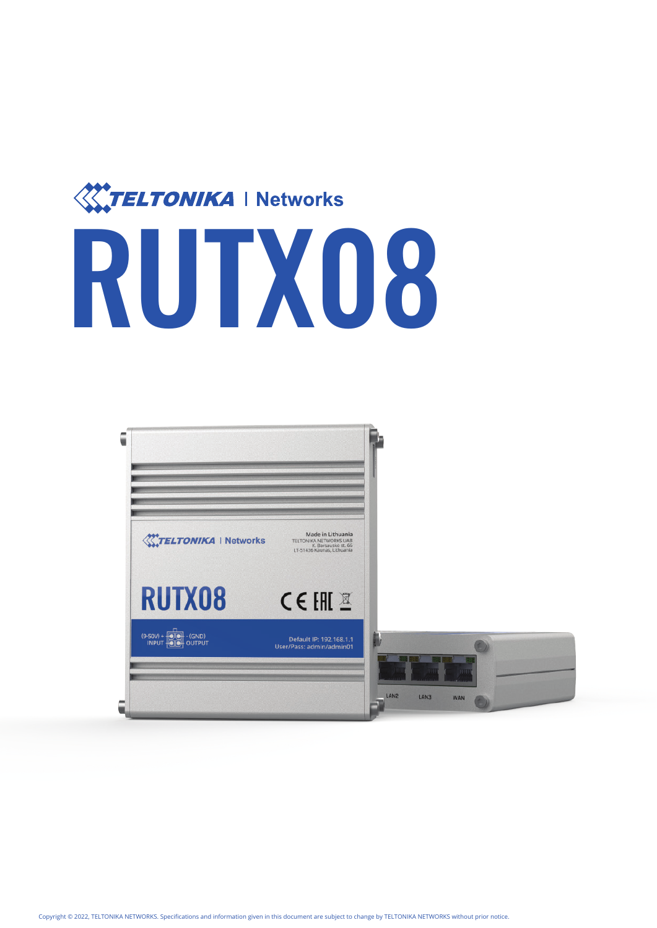

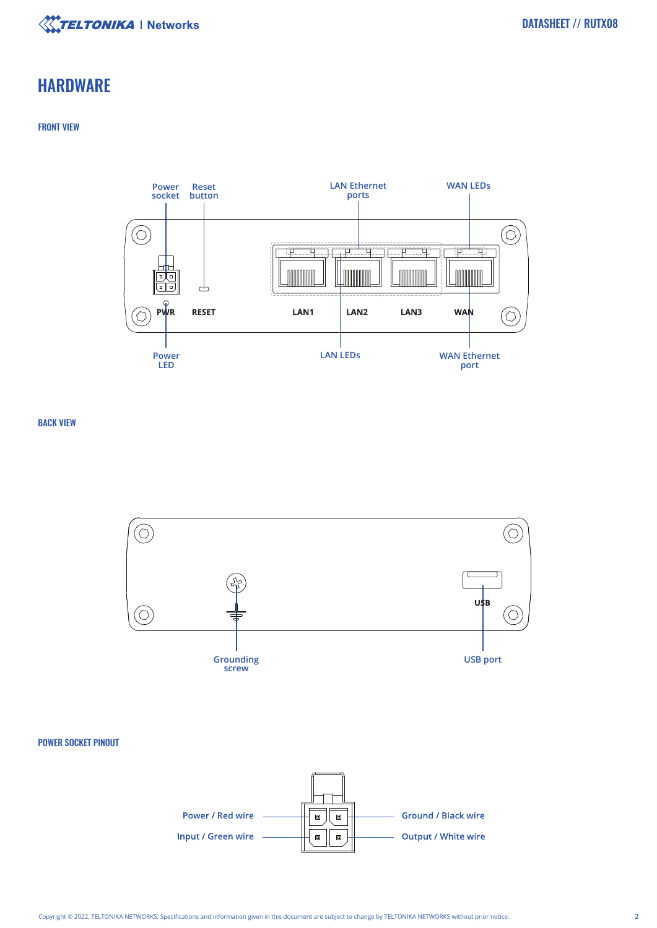

# **HARDWARE**

## FRONT VIEW



BACK VIEW



### POWER SOCKET PINOUT

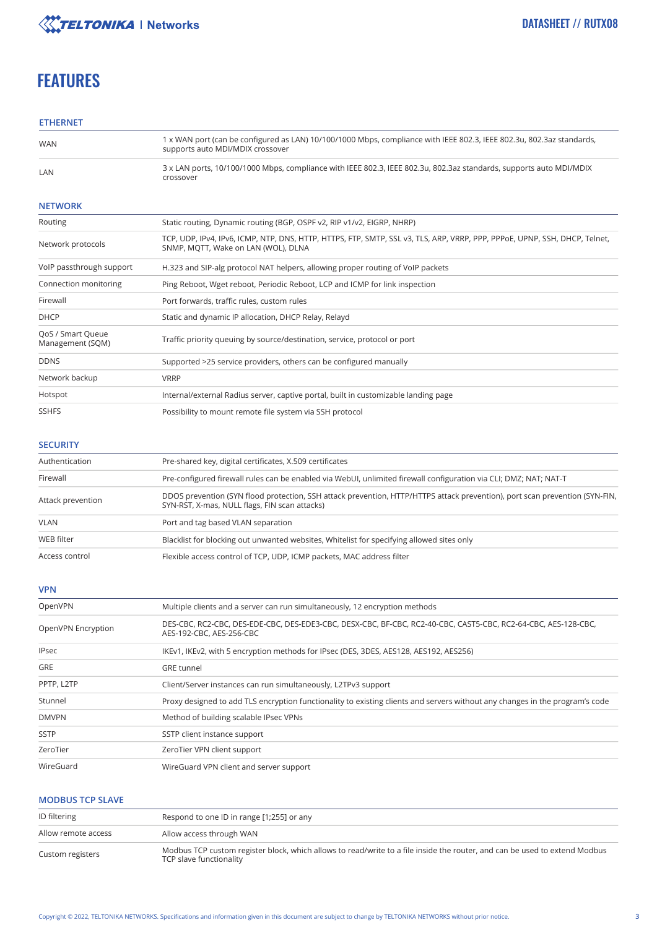

# **FEATURES**

# **ETHERNET**

| <b>WAN</b>                            | 1 x WAN port (can be configured as LAN) 10/100/1000 Mbps, compliance with IEEE 802.3, IEEE 802.3u, 802.3az standards,<br>supports auto MDI/MDIX crossover         |
|---------------------------------------|-------------------------------------------------------------------------------------------------------------------------------------------------------------------|
| LAN                                   | 3 x LAN ports, 10/100/1000 Mbps, compliance with IEEE 802.3, IEEE 802.3u, 802.3az standards, supports auto MDI/MDIX<br>crossover                                  |
| <b>NETWORK</b>                        |                                                                                                                                                                   |
| Routing                               | Static routing, Dynamic routing (BGP, OSPF v2, RIP v1/v2, EIGRP, NHRP)                                                                                            |
| Network protocols                     | TCP, UDP, IPv4, IPv6, ICMP, NTP, DNS, HTTP, HTTPS, FTP, SMTP, SSL v3, TLS, ARP, VRRP, PPP, PPPoE, UPNP, SSH, DHCP, Telnet,<br>SNMP, MQTT, Wake on LAN (WOL), DLNA |
| VoIP passthrough support              | H.323 and SIP-alg protocol NAT helpers, allowing proper routing of VoIP packets                                                                                   |
| Connection monitoring                 | Ping Reboot, Wget reboot, Periodic Reboot, LCP and ICMP for link inspection                                                                                       |
| Firewall                              | Port forwards, traffic rules, custom rules                                                                                                                        |
| <b>DHCP</b>                           | Static and dynamic IP allocation, DHCP Relay, Relayd                                                                                                              |
| QoS / Smart Queue<br>Management (SQM) | Traffic priority queuing by source/destination, service, protocol or port                                                                                         |
| <b>DDNS</b>                           | Supported >25 service providers, others can be configured manually                                                                                                |
| Network backup                        | <b>VRRP</b>                                                                                                                                                       |
| Hotspot                               | Internal/external Radius server, captive portal, built in customizable landing page                                                                               |
| <b>SSHFS</b>                          | Possibility to mount remote file system via SSH protocol                                                                                                          |
|                                       |                                                                                                                                                                   |

### **SECURITY**

| Authentication    | Pre-shared key, digital certificates, X.509 certificates                                                                                                                     |
|-------------------|------------------------------------------------------------------------------------------------------------------------------------------------------------------------------|
| Firewall          | Pre-configured firewall rules can be enabled via WebUI, unlimited firewall configuration via CLI; DMZ; NAT-T                                                                 |
| Attack prevention | DDOS prevention (SYN flood protection, SSH attack prevention, HTTP/HTTPS attack prevention), port scan prevention (SYN-FIN,<br>SYN-RST, X-mas, NULL flags, FIN scan attacks) |
| <b>VLAN</b>       | Port and tag based VLAN separation                                                                                                                                           |
| WEB filter        | Blacklist for blocking out unwanted websites, Whitelist for specifying allowed sites only                                                                                    |
| Access control    | Flexible access control of TCP, UDP, ICMP packets, MAC address filter                                                                                                        |

# **VPN**

| OpenVPN            | Multiple clients and a server can run simultaneously, 12 encryption methods                                                                |
|--------------------|--------------------------------------------------------------------------------------------------------------------------------------------|
| OpenVPN Encryption | DES-CBC, RC2-CBC, DES-EDE-CBC, DES-EDE3-CBC, DESX-CBC, BF-CBC, RC2-40-CBC, CAST5-CBC, RC2-64-CBC, AES-128-CBC,<br>AES-192-CBC, AES-256-CBC |
| <b>IPsec</b>       | IKEv1, IKEv2, with 5 encryption methods for IPsec (DES, 3DES, AES128, AES192, AES256)                                                      |
| <b>GRE</b>         | <b>GRE</b> tunnel                                                                                                                          |
| PPTP, L2TP         | Client/Server instances can run simultaneously, L2TPv3 support                                                                             |
| Stunnel            | Proxy designed to add TLS encryption functionality to existing clients and servers without any changes in the program's code               |
| <b>DMVPN</b>       | Method of building scalable IPsec VPNs                                                                                                     |
| <b>SSTP</b>        | SSTP client instance support                                                                                                               |
| ZeroTier           | ZeroTier VPN client support                                                                                                                |
| WireGuard          | WireGuard VPN client and server support                                                                                                    |

# **MODBUS TCP SLAVE**

| ID filtering        | Respond to one ID in range [1;255] or any                                                                                                             |
|---------------------|-------------------------------------------------------------------------------------------------------------------------------------------------------|
| Allow remote access | Allow access through WAN                                                                                                                              |
| Custom registers    | Modbus TCP custom register block, which allows to read/write to a file inside the router, and can be used to extend Modbus<br>TCP slave functionality |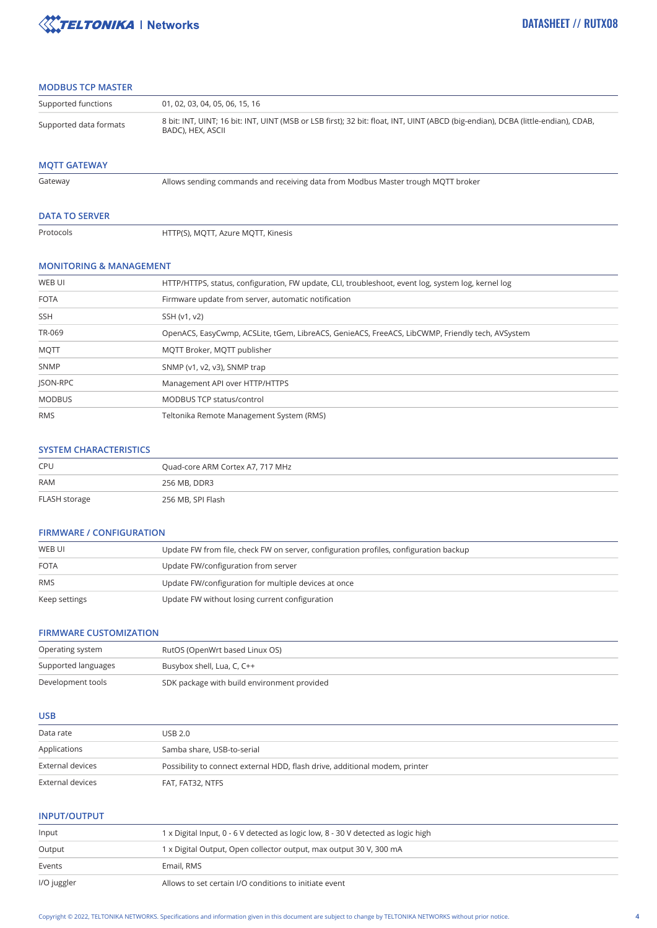

## **MODBUS TCP MASTER**

| Supported functions    | 01, 02, 03, 04, 05, 06, 15, 16                                                                                                                        |
|------------------------|-------------------------------------------------------------------------------------------------------------------------------------------------------|
| Supported data formats | 8 bit: INT, UINT; 16 bit: INT, UINT (MSB or LSB first); 32 bit: float, INT, UINT (ABCD (big-endian), DCBA (little-endian), CDAB,<br>BADC), HEX, ASCII |

# **MQTT GATEWAY**

Allows sending commands and receiving data from Modbus Master trough MQTT broker

#### **DATA TO SERVER**

Protocols

HTTP(S), MQTT, Azure MQTT, Kinesis

#### **MONITORING & MANAGEMENT**

| WEB UI        | HTTP/HTTPS, status, configuration, FW update, CLI, troubleshoot, event log, system log, kernel log |
|---------------|----------------------------------------------------------------------------------------------------|
| <b>FOTA</b>   | Firmware update from server, automatic notification                                                |
| <b>SSH</b>    | SSH (v1, v2)                                                                                       |
| TR-069        | OpenACS, EasyCwmp, ACSLite, tGem, LibreACS, GenieACS, FreeACS, LibCWMP, Friendly tech, AVSystem    |
| <b>MQTT</b>   | MQTT Broker, MQTT publisher                                                                        |
| SNMP          | SNMP (v1, v2, v3), SNMP trap                                                                       |
| JSON-RPC      | Management API over HTTP/HTTPS                                                                     |
| <b>MODBUS</b> | <b>MODBUS TCP status/control</b>                                                                   |
| <b>RMS</b>    | Teltonika Remote Management System (RMS)                                                           |

#### **SYSTEM CHARACTERISTICS**

| CPU           | Quad-core ARM Cortex A7, 717 MHz |
|---------------|----------------------------------|
| <b>RAM</b>    | 256 MB, DDR3                     |
| FLASH storage | 256 MB, SPI Flash                |

#### **FIRMWARE / CONFIGURATION**

| WEB UI        | Update FW from file, check FW on server, configuration profiles, configuration backup |
|---------------|---------------------------------------------------------------------------------------|
| <b>FOTA</b>   | Update FW/configuration from server                                                   |
| <b>RMS</b>    | Update FW/configuration for multiple devices at once                                  |
| Keep settings | Update FW without losing current configuration                                        |

## **FIRMWARE CUSTOMIZATION**

| Operating system    | RutOS (OpenWrt based Linux OS)              |
|---------------------|---------------------------------------------|
| Supported languages | Busybox shell, Lua, C, C++                  |
| Development tools   | SDK package with build environment provided |

#### **USB**

| Data rate        | USB 2.0                                                                     |
|------------------|-----------------------------------------------------------------------------|
| Applications     | Samba share, USB-to-serial                                                  |
| External devices | Possibility to connect external HDD, flash drive, additional modem, printer |
| External devices | FAT, FAT32, NTFS                                                            |

# **INPUT/OUTPUT**

| Input       | 1 x Digital Input, 0 - 6 V detected as logic low, 8 - 30 V detected as logic high |
|-------------|-----------------------------------------------------------------------------------|
| Output      | 1 x Digital Output, Open collector output, max output 30 V, 300 mA                |
| Events      | Email, RMS                                                                        |
| I/O juggler | Allows to set certain I/O conditions to initiate event                            |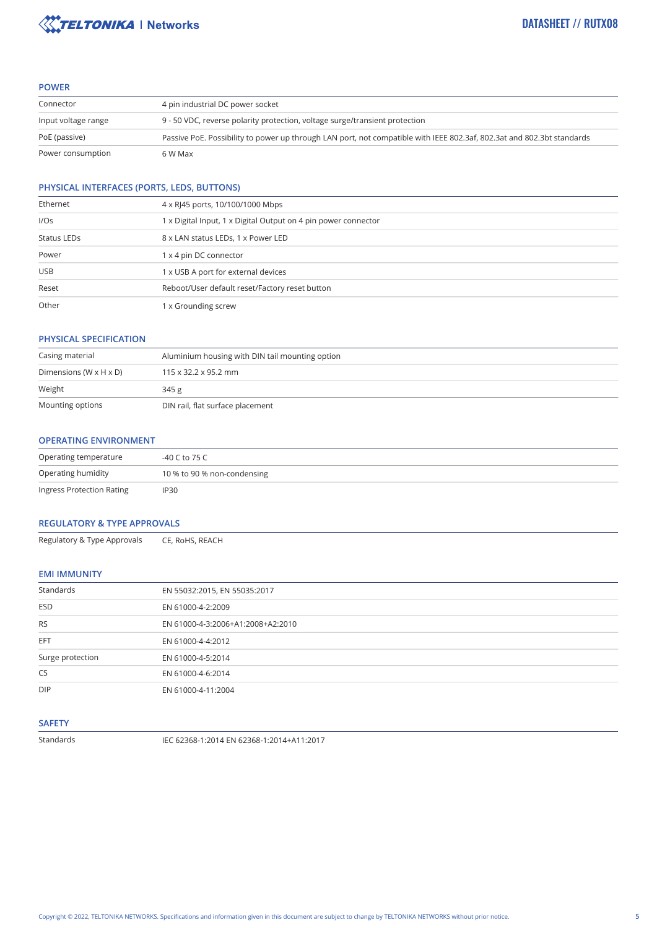

#### **POWER**

| Connector           | 4 pin industrial DC power socket                                                                                       |  |
|---------------------|------------------------------------------------------------------------------------------------------------------------|--|
| Input voltage range | 9 - 50 VDC, reverse polarity protection, voltage surge/transient protection                                            |  |
| PoE (passive)       | Passive PoE. Possibility to power up through LAN port, not compatible with IEEE 802.3af, 802.3at and 802.3bt standards |  |
| Power consumption   | 6 W Max                                                                                                                |  |

# **PHYSICAL INTERFACES (PORTS, LEDS, BUTTONS)**

| Ethernet    | 4 x RJ45 ports, 10/100/1000 Mbps                               |  |
|-------------|----------------------------------------------------------------|--|
| I/Os        | 1 x Digital Input, 1 x Digital Output on 4 pin power connector |  |
| Status LEDs | 8 x LAN status LEDs, 1 x Power LED                             |  |
| Power       | 1 x 4 pin DC connector                                         |  |
| <b>USB</b>  | x USB A port for external devices                              |  |
| Reset       | Reboot/User default reset/Factory reset button                 |  |
| Other       | x Grounding screw                                              |  |

#### **PHYSICAL SPECIFICATION**

| Casing material                      | Aluminium housing with DIN tail mounting option |  |
|--------------------------------------|-------------------------------------------------|--|
| Dimensions (W $\times$ H $\times$ D) | $115 \times 32.2 \times 95.2$ mm                |  |
| Weight                               | 345 g                                           |  |
| Mounting options                     | DIN rail, flat surface placement                |  |

#### **OPERATING ENVIRONMENT**

| Operating temperature     | -40 C to 75 C               |
|---------------------------|-----------------------------|
| Operating humidity        | 10 % to 90 % non-condensing |
| Ingress Protection Rating | <b>IP30</b>                 |

#### **REGULATORY & TYPE APPROVALS**

Regulatory & Type Approvals CE, RoHS, REACH

# **EMI IMMUNITY**

| Standards<br>EN 55032:2015, EN 55035:2017<br><b>ESD</b><br>EN 61000-4-2:2009<br><b>RS</b><br>EN 61000-4-3:2006+A1:2008+A2:2010<br>EFT<br>EN 61000-4-4:2012<br>Surge protection<br>EN 61000-4-5:2014<br><b>CS</b><br>EN 61000-4-6:2014<br><b>DIP</b><br>EN 61000-4-11:2004 |  |
|---------------------------------------------------------------------------------------------------------------------------------------------------------------------------------------------------------------------------------------------------------------------------|--|
|                                                                                                                                                                                                                                                                           |  |
|                                                                                                                                                                                                                                                                           |  |
|                                                                                                                                                                                                                                                                           |  |
|                                                                                                                                                                                                                                                                           |  |
|                                                                                                                                                                                                                                                                           |  |
|                                                                                                                                                                                                                                                                           |  |
|                                                                                                                                                                                                                                                                           |  |

#### **SAFETY**

Standards IEC 62368-1:2014 EN 62368-1:2014+A11:2017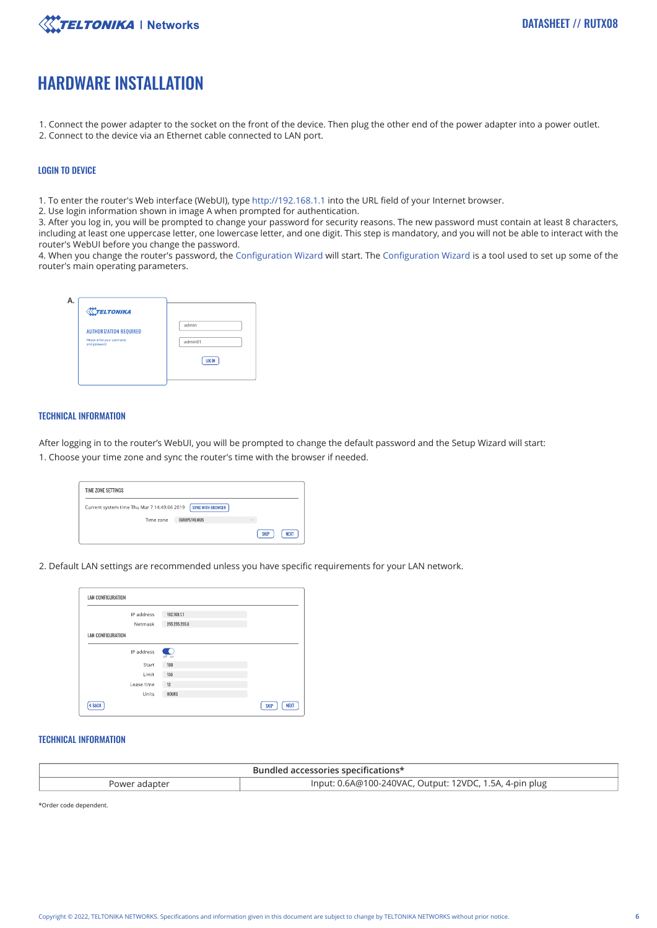

# HARDWARE INSTALLATION

- 1. Connect the power adapter to the socket on the front of the device. Then plug the other end of the power adapter into a power outlet.
- 2. Connect to the device via an Ethernet cable connected to LAN port.

#### LOGIN TO DEVICE

1. To enter the router's Web interface (WebUI), type http://192.168.1.1 into the URL field of your Internet browser.

2. Use login information shown in image A when prompted for authentication.

3. After you log in, you will be prompted to change your password for security reasons. The new password must contain at least 8 characters, including at least one uppercase letter, one lowercase letter, and one digit. This step is mandatory, and you will not be able to interact with the router's WebUI before you change the password.

4. When you change the router's password, the Configuration Wizard will start. The Configuration Wizard is a tool used to set up some of the router's main operating parameters.

| <b>X</b> TELTONIKA                         |         |
|--------------------------------------------|---------|
| <b>AUTHORIZATION REQUIRED</b>              | admin   |
| Please anter your username<br>and password | admin01 |
|                                            | LOG IN  |
|                                            |         |

#### TECHNICAL INFORMATION

After logging in to the router's WebUI, you will be prompted to change the default password and the Setup Wizard will start: 1. Choose your time zone and sync the router's time with the browser if needed.

| TIME ZONE SETTINGS                          |                   |             |             |
|---------------------------------------------|-------------------|-------------|-------------|
| Current system time Thu Mar 7 14:49:06 2019 | SYNC WITH BROWSER |             |             |
| Time zone                                   | EUROPE/VILNIUS    | $\sim$      |             |
|                                             |                   | <b>SKIP</b> | <b>NEXT</b> |

2. Default LAN settings are recommended unless you have specific requirements for your LAN network.

| LAN CONFIGURATION |               |                            |
|-------------------|---------------|----------------------------|
| IP address        | 192.168.1.1   |                            |
| Netmask           | 255.255.255.0 |                            |
| LAN CONFIGURATION |               |                            |
| IP address        | œ<br>off on   |                            |
| Start             | 100           |                            |
| Limit             | 150           |                            |
| Lease time        | 12            |                            |
| Units             | <b>HOURS</b>  |                            |
| < BACK            |               | <b>NEXT</b><br><b>SKIP</b> |

#### TECHNICAL INFORMATION

| Bundled accessories specifications*                                      |  |  |  |
|--------------------------------------------------------------------------|--|--|--|
| Input: 0.6A@100-240VAC, Output: 12VDC, 1.5A, 4-pin plug<br>Power adapter |  |  |  |

\*Order code dependent.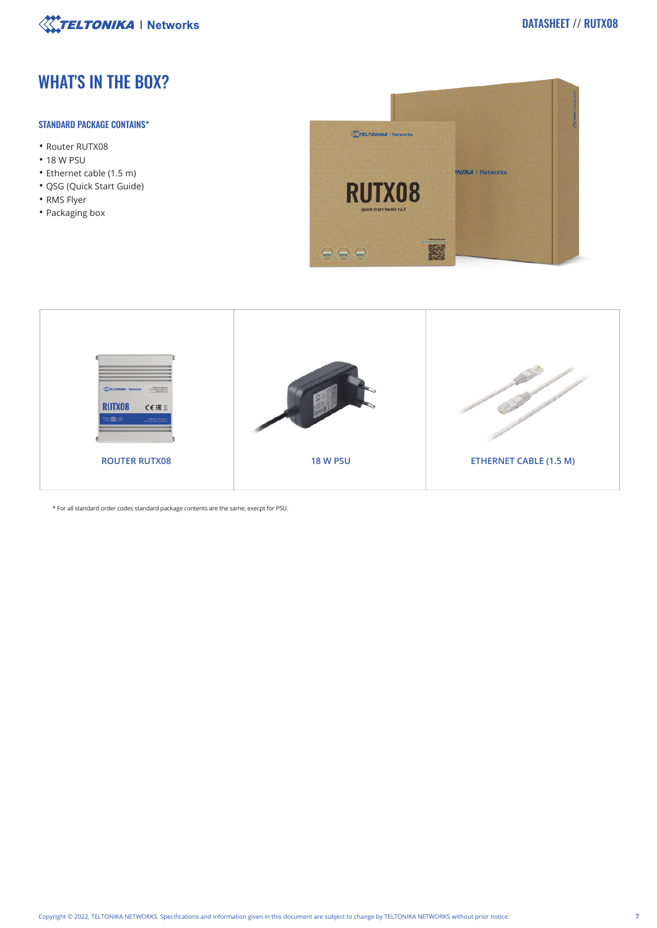

# WHAT'S IN THE BOX?

## STANDARD PACKAGE CONTAINS\*

- Router RUTX08
- 18 W PSU
- Ethernet cable (1.5 m)
- QSG (Quick Start Guide)
- RMS Flyer
- Packaging box





\* For all standard order codes standard package contents are the same, execpt for PSU.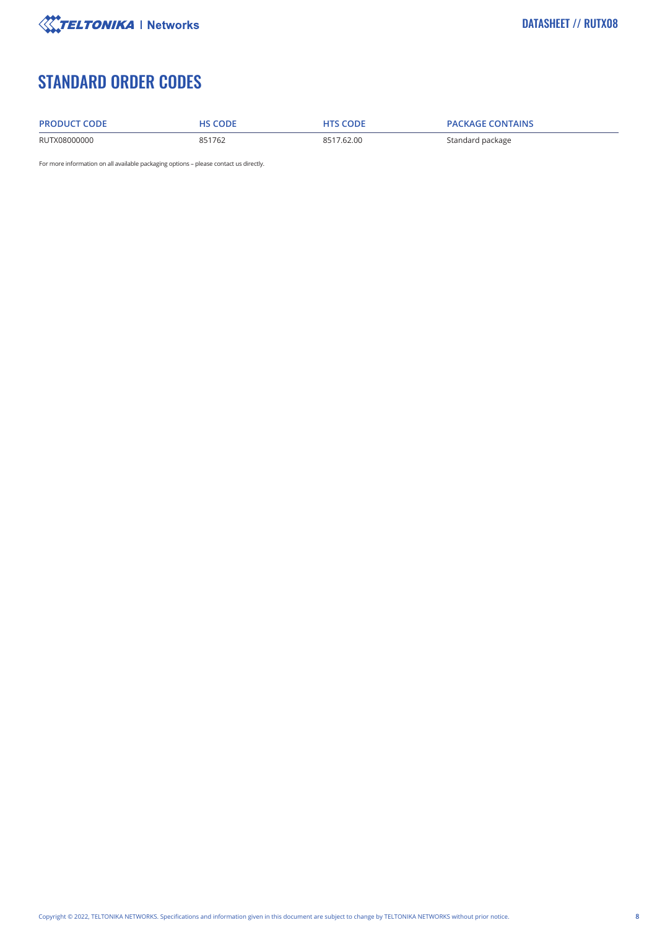

# STANDARD ORDER CODES

RUTX08000000

| <b>PRODUCT CODE</b> | <b>HS CODE</b> |
|---------------------|----------------|
|                     |                |

**PRODUCT CODE HS CODE HTS CODE PACKAGE CONTAINS**

851762 8517.62.00 Standard package

For more information on all available packaging options – please contact us directly.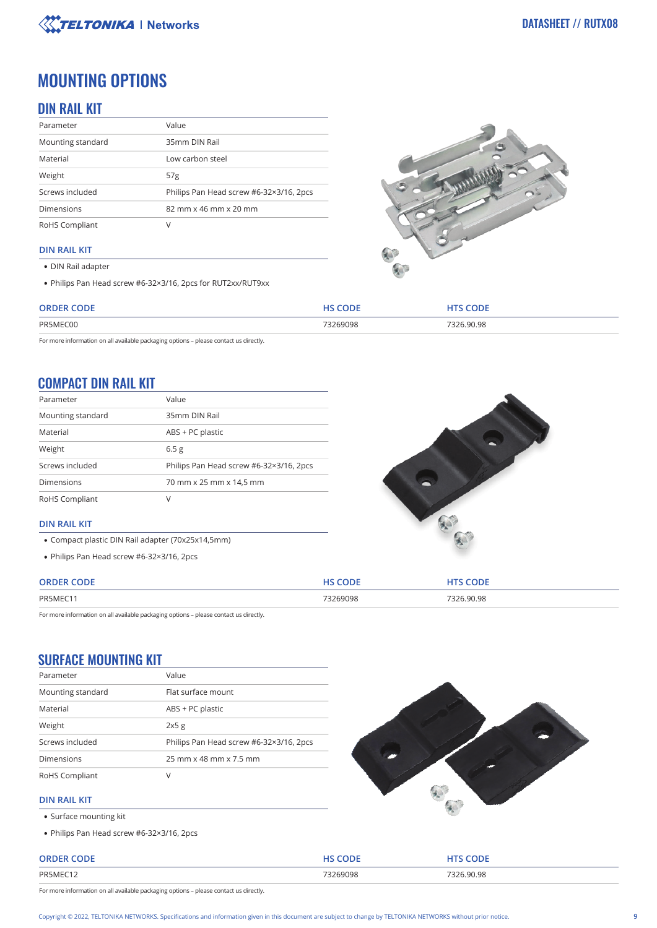

# MOUNTING OPTIONS

# DIN RAIL KIT

| Parameter         | Value                                   |
|-------------------|-----------------------------------------|
| Mounting standard | 35mm DIN Rail                           |
| Material          | Low carbon steel                        |
| Weight            | 57 <sub>g</sub>                         |
| Screws included   | Philips Pan Head screw #6-32×3/16, 2pcs |
| <b>Dimensions</b> | 82 mm x 46 mm x 20 mm                   |
| RoHS Compliant    |                                         |

#### **DIN RAIL KIT**

- DIN Rail adapter
- Philips Pan Head screw #6-32×3/16, 2pcs for RUT2xx/RUT9xx



| <b>ORDER CODE</b> | , CODE   | <b>CODE</b> |
|-------------------|----------|-------------|
| PR5MFC00          | 73269098 | 7326.90.98  |

For more information on all available packaging options – please contact us directly.

# COMPACT DIN RAIL KIT

| Parameter         | Value                                   |
|-------------------|-----------------------------------------|
| Mounting standard | 35mm DIN Rail                           |
| Material          | ABS + PC plastic                        |
| Weight            | 6.5 <sub>g</sub>                        |
| Screws included   | Philips Pan Head screw #6-32×3/16, 2pcs |
| <b>Dimensions</b> | 70 mm x 25 mm x 14,5 mm                 |
| RoHS Compliant    | V                                       |



- Compact plastic DIN Rail adapter (70x25x14,5mm)
- Philips Pan Head screw #6-32×3/16, 2pcs



| <b>ORDER</b> |         | <b>ODF</b>        |
|--------------|---------|-------------------|
| PR5MEC1      | 3269098 | .90.98<br>7 C C T |

For more information on all available packaging options – please contact us directly.

# SURFACE MOUNTING KIT

| Parameter         | Value                                   |
|-------------------|-----------------------------------------|
| Mounting standard | Flat surface mount                      |
| Material          | ABS + PC plastic                        |
| Weight            | 2x5g                                    |
| Screws included   | Philips Pan Head screw #6-32×3/16, 2pcs |
| <b>Dimensions</b> | 25 mm x 48 mm x 7.5 mm                  |
| RoHS Compliant    | V                                       |



#### **DIN RAIL KIT**

- Surface mounting kit
- Philips Pan Head screw #6-32×3/16, 2pcs

#### **ORDER CODE AND RESPONSIVE CODE HTS CODE AND RESPONSIVE CODE HTS CODE** PR5MEC12 73269098 7326.90.98

For more information on all available packaging options – please contact us directly.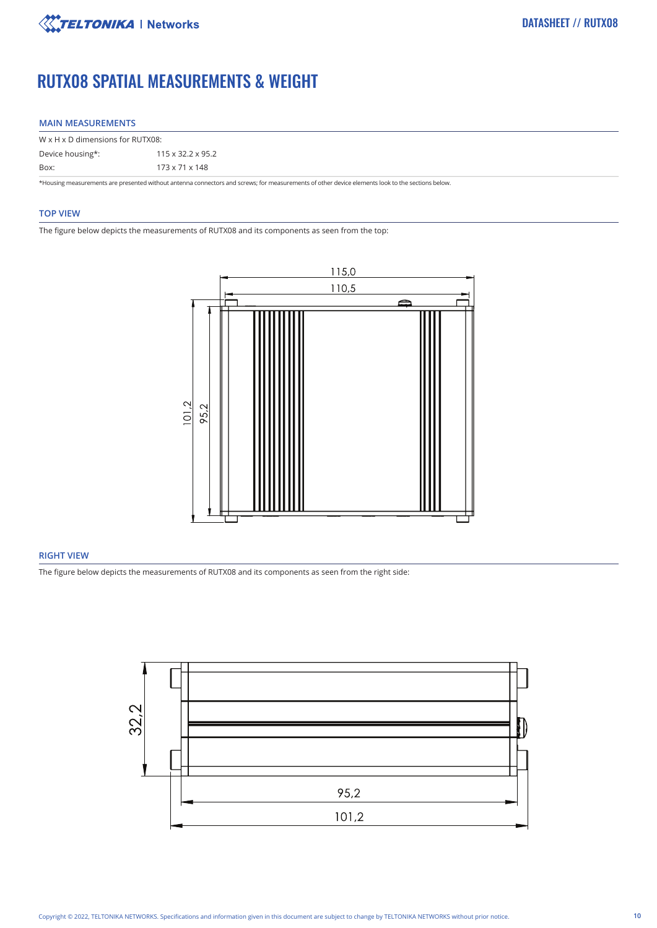

# RUTX08 SPATIAL MEASUREMENTS & WEIGHT

#### **MAIN MEASUREMENTS**

| W x H x D dimensions for RUTX08: |  |  |  |
|----------------------------------|--|--|--|
| $115 \times 32.2 \times 95.2$    |  |  |  |
| 173 x 71 x 148                   |  |  |  |
|                                  |  |  |  |

\*Housing measurements are presented without antenna connectors and screws; for measurements of other device elements look to the sections below.

#### **TOP VIEW**

The figure below depicts the measurements of RUTX08 and its components as seen from the top:



### **RIGHT VIEW**

The figure below depicts the measurements of RUTX08 and its components as seen from the right side:

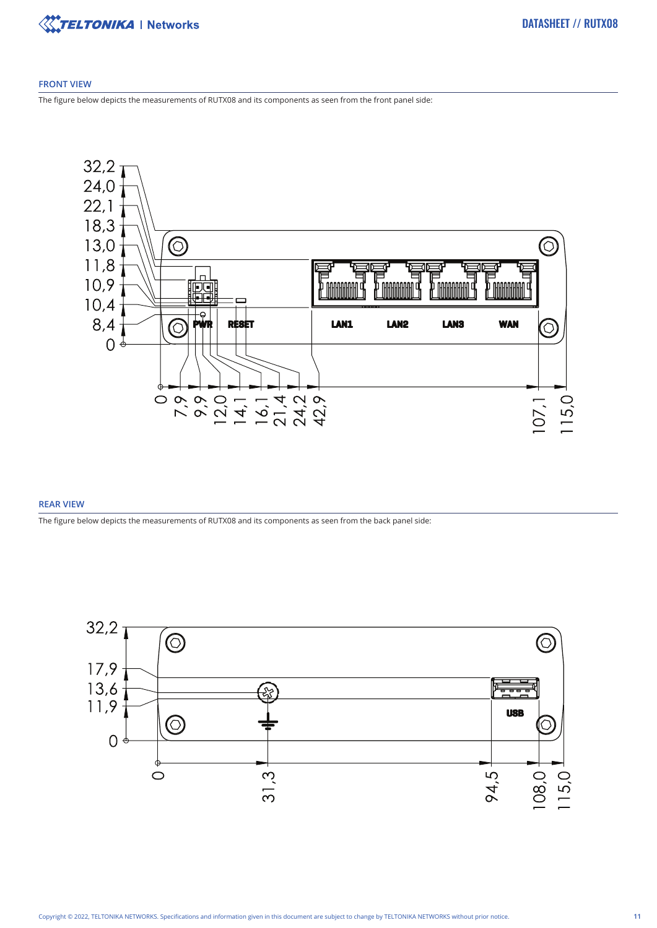

#### **FRONT VIEW**

The figure below depicts the measurements of RUTX08 and its components as seen from the front panel side:



#### **REAR VIEW**

The figure below depicts the measurements of RUTX08 and its components as seen from the back panel side:

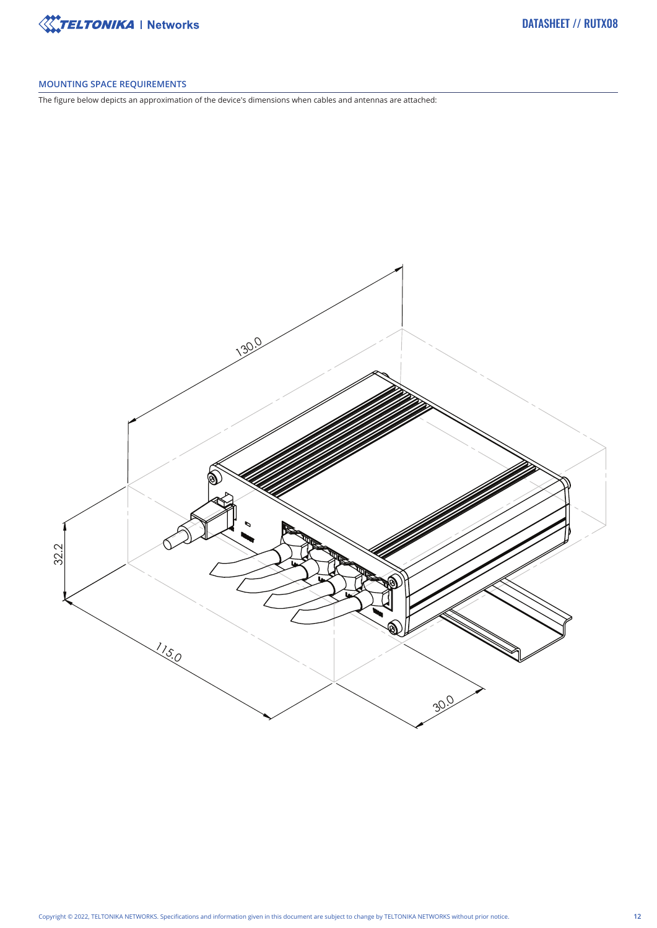

# **MOUNTING SPACE REQUIREMENTS**

The figure below depicts an approximation of the device's dimensions when cables and antennas are attached: